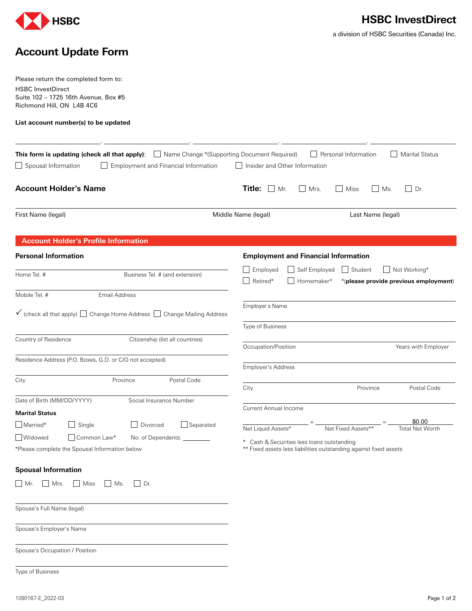

a division of HSBC Securities (Canada) Inc.

## **Account Update Form**

Please return the completed form to: HSBC InvestDirect Suite 102 – 1725 16th Avenue, Box #5 Richmond Hill, ON L4B 4C6

**List account number(s) to be updated**

|                                                                                                  | <b>This form is updating (check all that apply):</b> $\Box$ Name Change *(Supporting Document Required) |                                                            | $\Box$ Personal Information                                       | <b>Marital Status</b>                                 |
|--------------------------------------------------------------------------------------------------|---------------------------------------------------------------------------------------------------------|------------------------------------------------------------|-------------------------------------------------------------------|-------------------------------------------------------|
| Spousal Information                                                                              | $\Box$ Employment and Financial Information                                                             | Insider and Other Information                              |                                                                   |                                                       |
| <b>Account Holder's Name</b>                                                                     |                                                                                                         | Title:<br>Mr.<br>  Mrs.                                    | Miss<br>$\perp$<br>Ms.                                            | $\Box$ Dr.                                            |
| First Name (legal)                                                                               |                                                                                                         | Middle Name (legal)                                        | Last Name (legal)                                                 |                                                       |
| <b>Account Holder's Profile Information</b>                                                      |                                                                                                         |                                                            |                                                                   |                                                       |
| <b>Personal Information</b>                                                                      |                                                                                                         | <b>Employment and Financial Information</b>                |                                                                   |                                                       |
| Home Tel. #                                                                                      | Business Tel. # (and extension)                                                                         | $\Box$ Employed<br>Self Employed<br>Retired*<br>Homemaker* | $\Box$ Student                                                    | Not Working*<br>*/please provide previous employment) |
| Mobile Tel. #<br><b>Email Address</b>                                                            |                                                                                                         |                                                            |                                                                   |                                                       |
|                                                                                                  | $\checkmark$ (check all that apply) $\Box$ Change Home Address $\Box$ Change Mailing Address            | Employer's Name                                            |                                                                   |                                                       |
| Country of Residence                                                                             | Citizenship (list all countries)                                                                        | Type of Business                                           |                                                                   |                                                       |
|                                                                                                  |                                                                                                         | Occupation/Position                                        |                                                                   | Years with Employer                                   |
| Residence Address (P.O. Boxes, G.D. or C/O not accepted)                                         |                                                                                                         | <b>Employer's Address</b>                                  |                                                                   |                                                       |
| City                                                                                             | Province<br>Postal Code                                                                                 | City                                                       | Province                                                          | Postal Code                                           |
| Date of Birth (MM/DD/YYYY)<br>Social Insurance Number<br><b>Marital Status</b>                   |                                                                                                         | <b>Current Annual Income</b>                               |                                                                   |                                                       |
| Married*<br>$\Box$ Single                                                                        | Divorced<br>$\Box$ Separated                                                                            | Net Liquid Assets*                                         | Net Fixed Assets**                                                | \$0.00<br><b>Total Net Worth</b>                      |
| Widowed<br>  Common Law*<br>No. of Dependents:<br>*Please complete the Spousal Information below |                                                                                                         | * Cash & Securities less loans outstanding                 | ** Fixed assets less liabilities outstanding against fixed assets |                                                       |
| <b>Spousal Information</b>                                                                       |                                                                                                         |                                                            |                                                                   |                                                       |
| $\Box$ Mr. $\Box$ Mrs. $\Box$ Miss $\Box$ Ms. $\Box$ Dr.                                         |                                                                                                         |                                                            |                                                                   |                                                       |
| Spouse's Full Name (legal)                                                                       |                                                                                                         |                                                            |                                                                   |                                                       |
| Spouse's Employer's Name                                                                         |                                                                                                         |                                                            |                                                                   |                                                       |
| Spouse's Occupation / Position                                                                   |                                                                                                         |                                                            |                                                                   |                                                       |
| Type of Business                                                                                 |                                                                                                         |                                                            |                                                                   |                                                       |